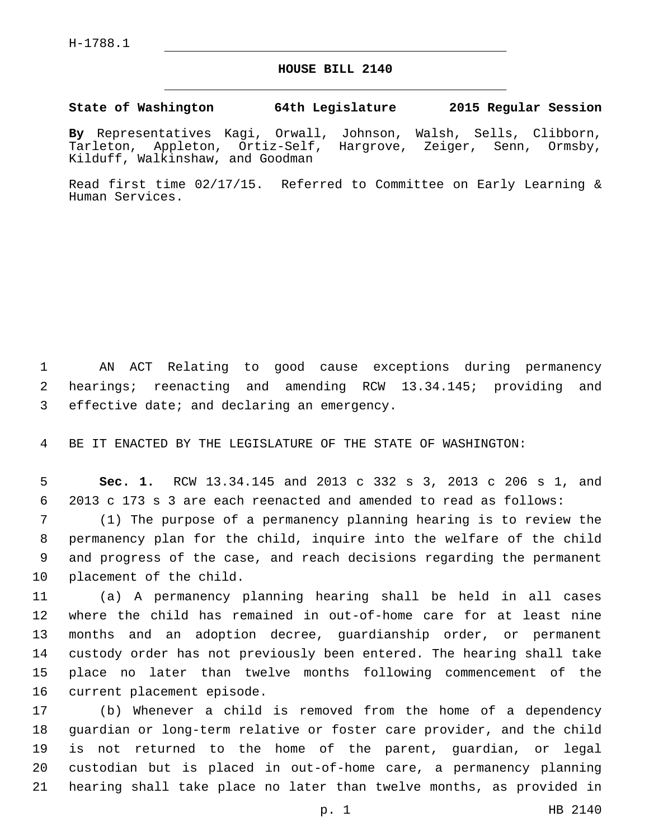## **HOUSE BILL 2140**

## **State of Washington 64th Legislature 2015 Regular Session**

**By** Representatives Kagi, Orwall, Johnson, Walsh, Sells, Clibborn, Tarleton, Appleton, Ortiz-Self, Hargrove, Zeiger, Senn, Ormsby, Kilduff, Walkinshaw, and Goodman

Read first time 02/17/15. Referred to Committee on Early Learning & Human Services.

1 AN ACT Relating to good cause exceptions during permanency 2 hearings; reenacting and amending RCW 13.34.145; providing and 3 effective date; and declaring an emergency.

4 BE IT ENACTED BY THE LEGISLATURE OF THE STATE OF WASHINGTON:

5 **Sec. 1.** RCW 13.34.145 and 2013 c 332 s 3, 2013 c 206 s 1, and 6 2013 c 173 s 3 are each reenacted and amended to read as follows:

 (1) The purpose of a permanency planning hearing is to review the permanency plan for the child, inquire into the welfare of the child and progress of the case, and reach decisions regarding the permanent 10 placement of the child.

 (a) A permanency planning hearing shall be held in all cases where the child has remained in out-of-home care for at least nine months and an adoption decree, guardianship order, or permanent custody order has not previously been entered. The hearing shall take place no later than twelve months following commencement of the 16 current placement episode.

 (b) Whenever a child is removed from the home of a dependency guardian or long-term relative or foster care provider, and the child is not returned to the home of the parent, guardian, or legal custodian but is placed in out-of-home care, a permanency planning hearing shall take place no later than twelve months, as provided in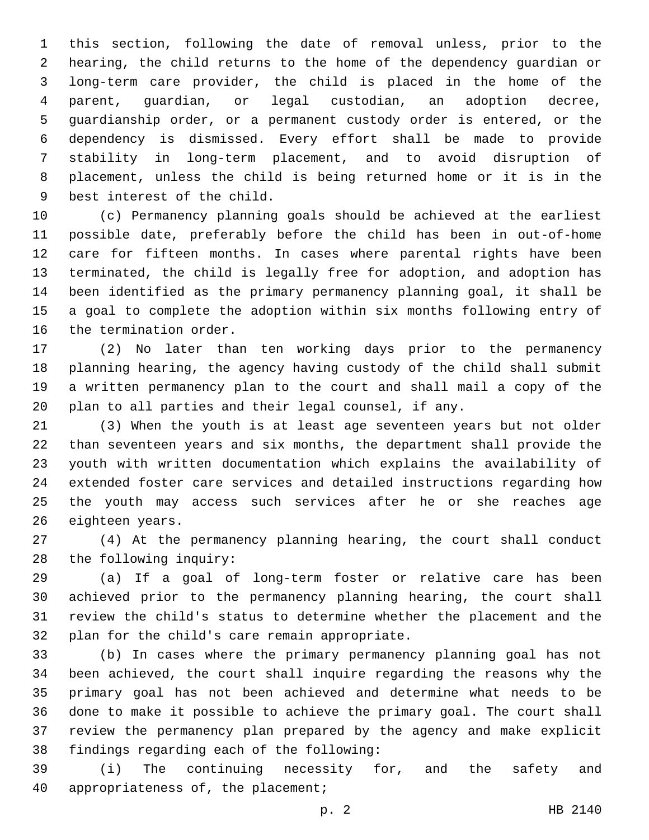this section, following the date of removal unless, prior to the hearing, the child returns to the home of the dependency guardian or long-term care provider, the child is placed in the home of the parent, guardian, or legal custodian, an adoption decree, guardianship order, or a permanent custody order is entered, or the dependency is dismissed. Every effort shall be made to provide stability in long-term placement, and to avoid disruption of placement, unless the child is being returned home or it is in the 9 best interest of the child.

 (c) Permanency planning goals should be achieved at the earliest possible date, preferably before the child has been in out-of-home care for fifteen months. In cases where parental rights have been terminated, the child is legally free for adoption, and adoption has been identified as the primary permanency planning goal, it shall be a goal to complete the adoption within six months following entry of 16 the termination order.

 (2) No later than ten working days prior to the permanency planning hearing, the agency having custody of the child shall submit a written permanency plan to the court and shall mail a copy of the plan to all parties and their legal counsel, if any.

 (3) When the youth is at least age seventeen years but not older than seventeen years and six months, the department shall provide the youth with written documentation which explains the availability of extended foster care services and detailed instructions regarding how the youth may access such services after he or she reaches age 26 eighteen years.

 (4) At the permanency planning hearing, the court shall conduct 28 the following inquiry:

 (a) If a goal of long-term foster or relative care has been achieved prior to the permanency planning hearing, the court shall review the child's status to determine whether the placement and the 32 plan for the child's care remain appropriate.

 (b) In cases where the primary permanency planning goal has not been achieved, the court shall inquire regarding the reasons why the primary goal has not been achieved and determine what needs to be done to make it possible to achieve the primary goal. The court shall review the permanency plan prepared by the agency and make explicit 38 findings regarding each of the following:

 (i) The continuing necessity for, and the safety and 40 appropriateness of, the placement;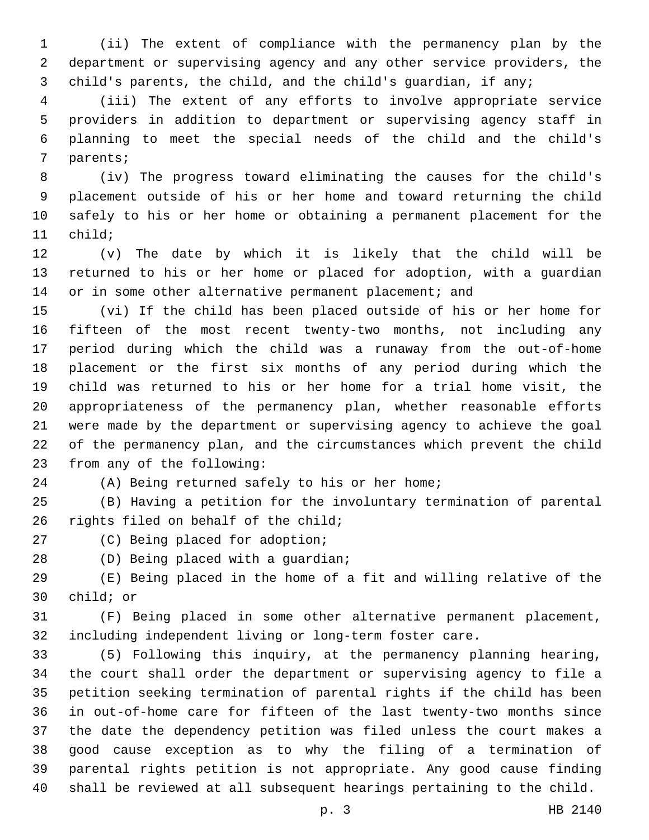(ii) The extent of compliance with the permanency plan by the department or supervising agency and any other service providers, the child's parents, the child, and the child's guardian, if any;

 (iii) The extent of any efforts to involve appropriate service providers in addition to department or supervising agency staff in planning to meet the special needs of the child and the child's 7 parents;

 (iv) The progress toward eliminating the causes for the child's placement outside of his or her home and toward returning the child safely to his or her home or obtaining a permanent placement for the 11 child;

 (v) The date by which it is likely that the child will be returned to his or her home or placed for adoption, with a guardian 14 or in some other alternative permanent placement; and

 (vi) If the child has been placed outside of his or her home for fifteen of the most recent twenty-two months, not including any period during which the child was a runaway from the out-of-home placement or the first six months of any period during which the child was returned to his or her home for a trial home visit, the appropriateness of the permanency plan, whether reasonable efforts were made by the department or supervising agency to achieve the goal of the permanency plan, and the circumstances which prevent the child 23 from any of the following:

(A) Being returned safely to his or her home;

 (B) Having a petition for the involuntary termination of parental 26 rights filed on behalf of the child;

27 (C) Being placed for adoption;

28 (D) Being placed with a guardian;

 (E) Being placed in the home of a fit and willing relative of the 30 child; or

 (F) Being placed in some other alternative permanent placement, including independent living or long-term foster care.

 (5) Following this inquiry, at the permanency planning hearing, the court shall order the department or supervising agency to file a petition seeking termination of parental rights if the child has been in out-of-home care for fifteen of the last twenty-two months since the date the dependency petition was filed unless the court makes a good cause exception as to why the filing of a termination of parental rights petition is not appropriate. Any good cause finding shall be reviewed at all subsequent hearings pertaining to the child.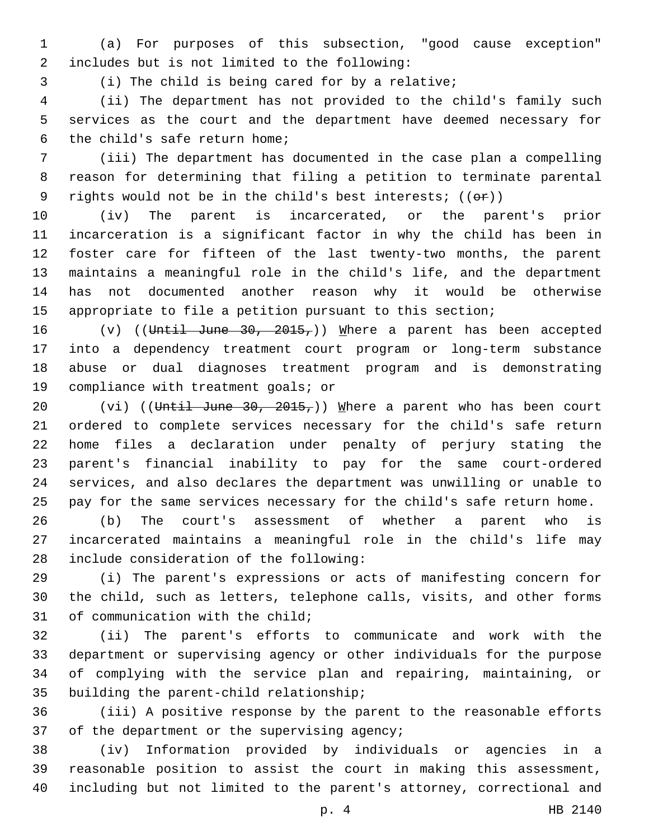(a) For purposes of this subsection, "good cause exception" includes but is not limited to the following:2

(i) The child is being cared for by a relative;

 (ii) The department has not provided to the child's family such services as the court and the department have deemed necessary for 6 the child's safe return home;

 (iii) The department has documented in the case plan a compelling reason for determining that filing a petition to terminate parental 9 rights would not be in the child's best interests;  $((\theta \hat{r}))$ 

 (iv) The parent is incarcerated, or the parent's prior incarceration is a significant factor in why the child has been in foster care for fifteen of the last twenty-two months, the parent maintains a meaningful role in the child's life, and the department has not documented another reason why it would be otherwise appropriate to file a petition pursuant to this section;

 $(v)$  ((Until June 30, 2015,)) Where a parent has been accepted into a dependency treatment court program or long-term substance abuse or dual diagnoses treatment program and is demonstrating 19 compliance with treatment goals; or

20 (vi) ((Until June 30, 2015,)) Where a parent who has been court ordered to complete services necessary for the child's safe return home files a declaration under penalty of perjury stating the parent's financial inability to pay for the same court-ordered services, and also declares the department was unwilling or unable to pay for the same services necessary for the child's safe return home.

 (b) The court's assessment of whether a parent who is incarcerated maintains a meaningful role in the child's life may 28 include consideration of the following:

 (i) The parent's expressions or acts of manifesting concern for the child, such as letters, telephone calls, visits, and other forms 31 of communication with the child;

 (ii) The parent's efforts to communicate and work with the department or supervising agency or other individuals for the purpose of complying with the service plan and repairing, maintaining, or 35 building the parent-child relationship;

 (iii) A positive response by the parent to the reasonable efforts 37 of the department or the supervising agency;

 (iv) Information provided by individuals or agencies in a reasonable position to assist the court in making this assessment, including but not limited to the parent's attorney, correctional and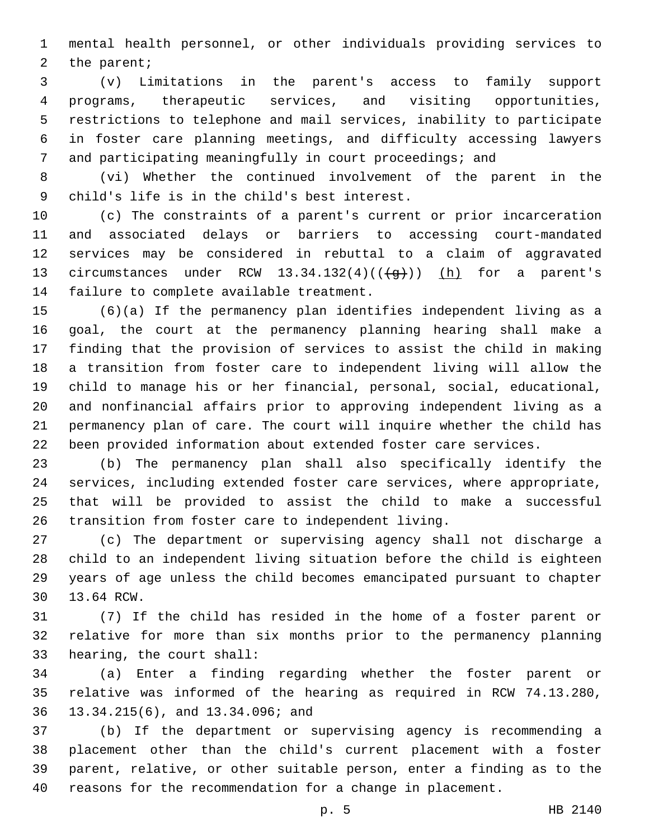mental health personnel, or other individuals providing services to 2 the parent;

 (v) Limitations in the parent's access to family support programs, therapeutic services, and visiting opportunities, restrictions to telephone and mail services, inability to participate in foster care planning meetings, and difficulty accessing lawyers and participating meaningfully in court proceedings; and

 (vi) Whether the continued involvement of the parent in the child's life is in the child's best interest.9

 (c) The constraints of a parent's current or prior incarceration and associated delays or barriers to accessing court-mandated services may be considered in rebuttal to a claim of aggravated 13 circumstances under RCW  $13.34.132(4)((\frac{1}{9}))$  (h) for a parent's 14 failure to complete available treatment.

 (6)(a) If the permanency plan identifies independent living as a goal, the court at the permanency planning hearing shall make a finding that the provision of services to assist the child in making a transition from foster care to independent living will allow the child to manage his or her financial, personal, social, educational, and nonfinancial affairs prior to approving independent living as a permanency plan of care. The court will inquire whether the child has been provided information about extended foster care services.

 (b) The permanency plan shall also specifically identify the services, including extended foster care services, where appropriate, that will be provided to assist the child to make a successful transition from foster care to independent living.

 (c) The department or supervising agency shall not discharge a child to an independent living situation before the child is eighteen years of age unless the child becomes emancipated pursuant to chapter 30 13.64 RCW.

 (7) If the child has resided in the home of a foster parent or relative for more than six months prior to the permanency planning 33 hearing, the court shall:

 (a) Enter a finding regarding whether the foster parent or relative was informed of the hearing as required in RCW 74.13.280, 13.34.215(6), and 13.34.096; and36

 (b) If the department or supervising agency is recommending a placement other than the child's current placement with a foster parent, relative, or other suitable person, enter a finding as to the reasons for the recommendation for a change in placement.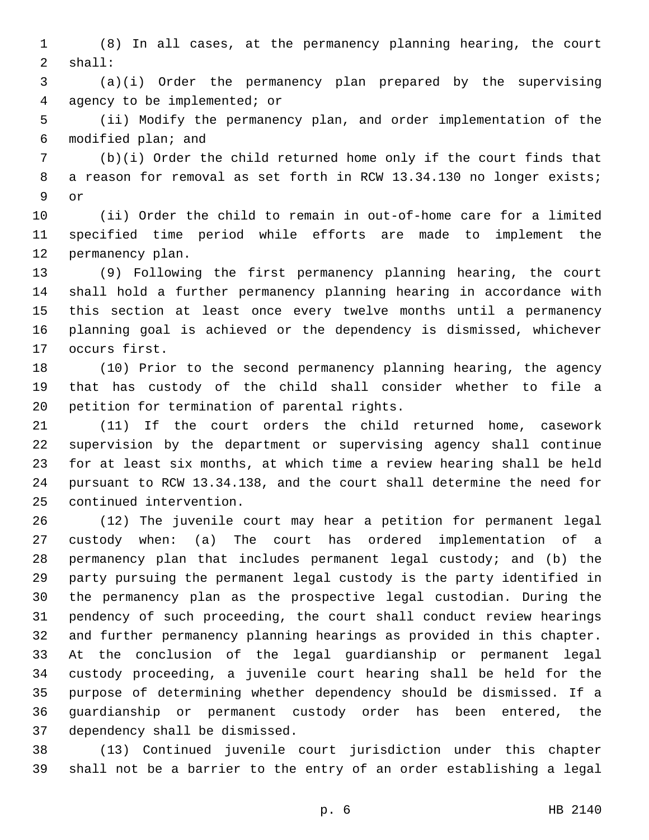(8) In all cases, at the permanency planning hearing, the court shall:2

 (a)(i) Order the permanency plan prepared by the supervising agency to be implemented; or4

 (ii) Modify the permanency plan, and order implementation of the 6 modified plan; and

 (b)(i) Order the child returned home only if the court finds that 8 a reason for removal as set forth in RCW 13.34.130 no longer exists; 9 or

 (ii) Order the child to remain in out-of-home care for a limited specified time period while efforts are made to implement the 12 permanency plan.

 (9) Following the first permanency planning hearing, the court shall hold a further permanency planning hearing in accordance with this section at least once every twelve months until a permanency planning goal is achieved or the dependency is dismissed, whichever 17 occurs first.

 (10) Prior to the second permanency planning hearing, the agency that has custody of the child shall consider whether to file a 20 petition for termination of parental rights.

 (11) If the court orders the child returned home, casework supervision by the department or supervising agency shall continue for at least six months, at which time a review hearing shall be held pursuant to RCW 13.34.138, and the court shall determine the need for 25 continued intervention.

 (12) The juvenile court may hear a petition for permanent legal custody when: (a) The court has ordered implementation of a permanency plan that includes permanent legal custody; and (b) the party pursuing the permanent legal custody is the party identified in the permanency plan as the prospective legal custodian. During the pendency of such proceeding, the court shall conduct review hearings and further permanency planning hearings as provided in this chapter. At the conclusion of the legal guardianship or permanent legal custody proceeding, a juvenile court hearing shall be held for the purpose of determining whether dependency should be dismissed. If a guardianship or permanent custody order has been entered, the 37 dependency shall be dismissed.

 (13) Continued juvenile court jurisdiction under this chapter shall not be a barrier to the entry of an order establishing a legal

p. 6 HB 2140